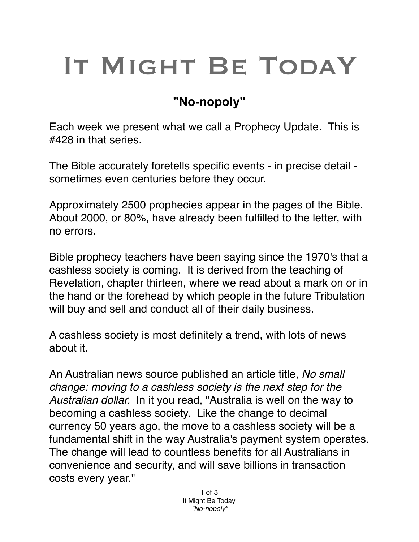## IT MIGHT BE TODAY

## **"No-nopoly"**

Each week we present what we call a Prophecy Update. This is #428 in that series.

The Bible accurately foretells specific events - in precise detail sometimes even centuries before they occur.

Approximately 2500 prophecies appear in the pages of the Bible. About 2000, or 80%, have already been fulfilled to the letter, with no errors.

Bible prophecy teachers have been saying since the 1970's that a cashless society is coming. It is derived from the teaching of Revelation, chapter thirteen, where we read about a mark on or in the hand or the forehead by which people in the future Tribulation will buy and sell and conduct all of their daily business.

A cashless society is most definitely a trend, with lots of news about it.

An Australian news source published an article title, *No small change: moving to a cashless society is the next step for the Australian dollar.* In it you read, "Australia is well on the way to becoming a cashless society. Like the change to decimal currency 50 years ago, the move to a cashless society will be a fundamental shift in the way Australia's payment system operates. The change will lead to countless benefits for all Australians in convenience and security, and will save billions in transaction costs every year."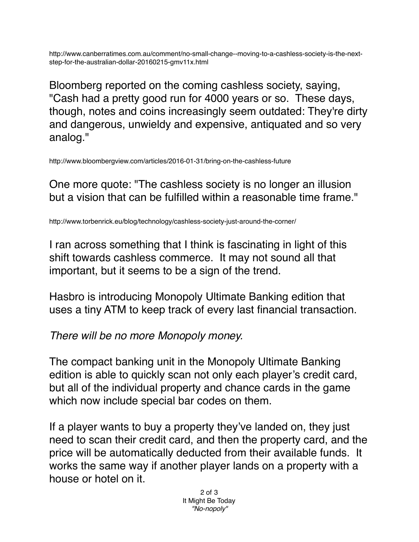http://www.canberratimes.com.au/comment/no-small-change--moving-to-a-cashless-society-is-the-nextstep-for-the-australian-dollar-20160215-gmv11x.html

Bloomberg reported on the coming cashless society, saying, "Cash had a pretty good run for 4000 years or so. These days, though, notes and coins increasingly seem outdated: They're dirty and dangerous, unwieldy and expensive, antiquated and so very analog."

http://www.bloombergview.com/articles/2016-01-31/bring-on-the-cashless-future

One more quote: "The cashless society is no longer an illusion but a vision that can be fulfilled within a reasonable time frame."

http://www.torbenrick.eu/blog/technology/cashless-society-just-around-the-corner/

I ran across something that I think is fascinating in light of this shift towards cashless commerce. It may not sound all that important, but it seems to be a sign of the trend.

Hasbro is introducing Monopoly Ultimate Banking edition that uses a tiny ATM to keep track of every last financial transaction.

*There will be no more Monopoly money.*

The compact banking unit in the Monopoly Ultimate Banking edition is able to quickly scan not only each player's credit card, but all of the individual property and chance cards in the game which now include special bar codes on them.

If a player wants to buy a property they've landed on, they just need to scan their credit card, and then the property card, and the price will be automatically deducted from their available funds. It works the same way if another player lands on a property with a house or hotel on it.